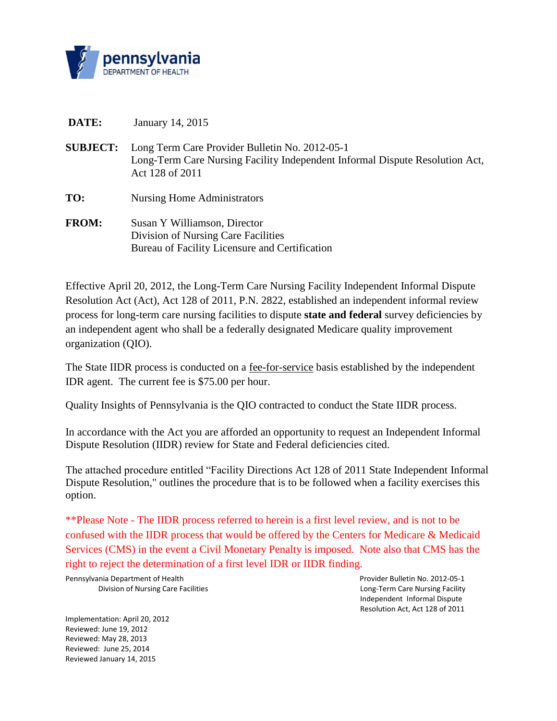

- **DATE:** January 14, 2015
- **SUBJECT:** Long Term Care Provider Bulletin No. 2012-05-1 Long-Term Care Nursing Facility Independent Informal Dispute Resolution Act, Act 128 of 2011
- **TO:** Nursing Home Administrators
- **FROM:** Susan Y Williamson, Director Division of Nursing Care Facilities Bureau of Facility Licensure and Certification

Effective April 20, 2012, the Long-Term Care Nursing Facility Independent Informal Dispute Resolution Act (Act), Act 128 of 2011, P.N. 2822, established an independent informal review process for long-term care nursing facilities to dispute **state and federal** survey deficiencies by an independent agent who shall be a federally designated Medicare quality improvement organization (QIO).

The State IIDR process is conducted on a fee-for-service basis established by the independent IDR agent. The current fee is \$75.00 per hour.

Quality Insights of Pennsylvania is the QIO contracted to conduct the State IIDR process.

In accordance with the Act you are afforded an opportunity to request an Independent Informal Dispute Resolution (IIDR) review for State and Federal deficiencies cited.

The attached procedure entitled "Facility Directions Act 128 of 2011 State Independent Informal Dispute Resolution," outlines the procedure that is to be followed when a facility exercises this option.

\*\*Please Note - The IIDR process referred to herein is a first level review, and is not to be confused with the IIDR process that would be offered by the Centers for Medicare & Medicaid Services (CMS) in the event a Civil Monetary Penalty is imposed. Note also that CMS has the right to reject the determination of a first level IDR or IIDR finding.

Pennsylvania Department of Health Provider Bulletin No. 2012-05-1

Implementation: April 20, 2012 Reviewed: June 19, 2012 Reviewed: May 28, 2013 Reviewed: June 25, 2014 Reviewed January 14, 2015

Division of Nursing Care Facilities Long-Term Care Nursing Facility Long-Term Care Nursing Facility Independent Informal Dispute Resolution Act, Act 128 of 2011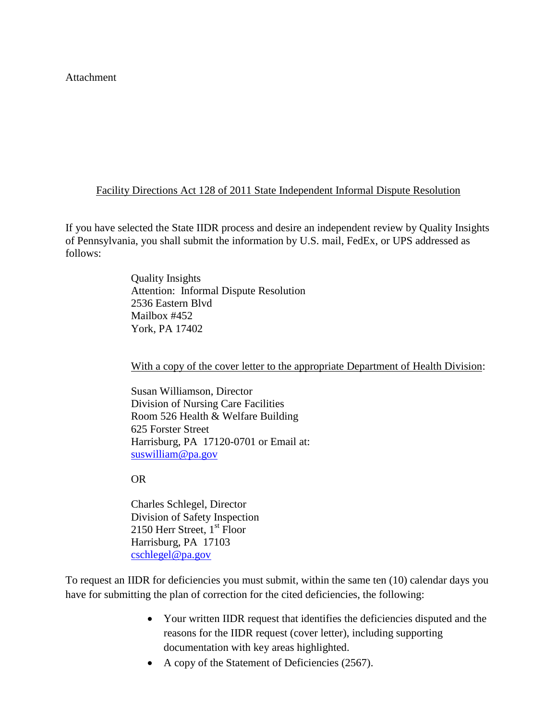Attachment

## Facility Directions Act 128 of 2011 State Independent Informal Dispute Resolution

If you have selected the State IIDR process and desire an independent review by Quality Insights of Pennsylvania, you shall submit the information by U.S. mail, FedEx, or UPS addressed as follows:

> Quality Insights Attention: Informal Dispute Resolution 2536 Eastern Blvd Mailbox #452 York, PA 17402

With a copy of the cover letter to the appropriate Department of Health Division:

Susan Williamson, Director Division of Nursing Care Facilities Room 526 Health & Welfare Building 625 Forster Street Harrisburg, PA 17120-0701 or Email at: [suswilliam@pa.gov](mailto:suswilliam@pa.gov)

## OR

Charles Schlegel, Director Division of Safety Inspection 2150 Herr Street,  $1<sup>st</sup>$  Floor Harrisburg, PA 17103 [cschlegel@pa.gov](mailto:cschlegel@pa.gov)

To request an IIDR for deficiencies you must submit, within the same ten (10) calendar days you have for submitting the plan of correction for the cited deficiencies, the following:

- Your written IIDR request that identifies the deficiencies disputed and the reasons for the IIDR request (cover letter), including supporting documentation with key areas highlighted.
- A copy of the Statement of Deficiencies (2567).